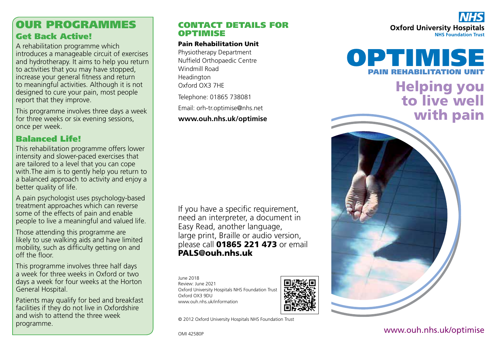# OUR PROGRAMMES Get Back Active!

A rehabilitation programme which introduces a manageable circuit of exercises and hydrotherapy. It aims to help you return to activities that you may have stopped, increase your general fitness and return to meaningful activities. Although it is not designed to cure your pain, most people report that they improve.

This programme involves three days a week for three weeks or six evening sessions, once per week.

## Balanced Life!

This rehabilitation programme offers lower intensity and slower-paced exercises that are tailored to a level that you can cope with.The aim is to gently help you return to a balanced approach to activity and enjoy a better quality of life.

A pain psychologist uses psychology-based treatment approaches which can reverse some of the effects of pain and enable people to live a meaningful and valued life.

Those attending this programme are likely to use walking aids and have limited mobility, such as difficulty getting on and off the floor.

This programme involves three half days a week for three weeks in Oxford or two days a week for four weeks at the Horton General Hospital.

Patients may qualify for bed and breakfast facilities if they do not live in Oxfordshire and wish to attend the three week programme.

### CONTACT DETAILS FOR OPTIMISE

#### Pain Rehabilitation Unit

Physiotherapy Department Nuffield Orthopaedic Centre Windmill Road Headington Oxford OX3 7HE

Telephone: 01865 738081

Email: orh-tr.optimise@nhs.net

#### **www.ouh.nhs.uk/optimise**

If you have a specific requirement, need an interpreter, a document in Easy Read, another language, large print, Braille or audio version, please call 01865 221 473 or email PALS@ouh.nhs.uk

June 2018 Review: June 2021 Oxford University Hospitals NHS Foundation Trust Oxford OX3 9DU www.ouh.nhs.uk/information



© 2012 Oxford University Hospitals NHS Foundation Trust

**Oxford University Hospitals NHS Foundation Trust** 



## www.ouh.nhs.uk/optimise